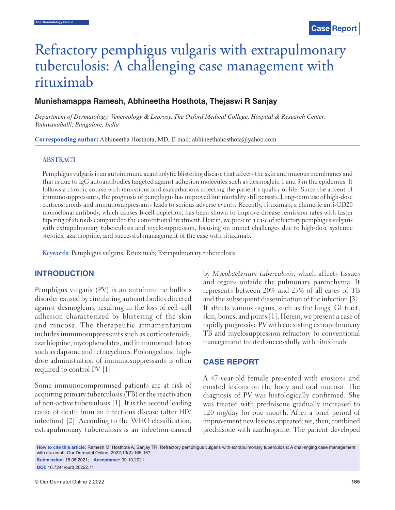# PELECTRE PERPHISHOP WITH THE EXTRAPULLED VILLES VILLES VILLES VILLES VILLES VILLES VILLES VILLES VILLES VILLES<br>Tuberculosis: A challenging case management with tuberculosis: A challenging case management with uber

# rituximab ituximab **Munishamappa Ramesh, Abhineetha Hosthota, Thejaswi R Sanjay**

*Department of Dermatology, Venereology & Leprosy, The Oxford Medical College, Hospital & Research Center, Yadavanahalli, Bangalore, India*

**Corresponding author:** Abhineetha Hosthota, MD, E-mail: abhineethahosthota@yahoo.com

#### **ABSTRACT**

Pemphigus vulgaris is an autoimmune acantholytic blistering disease that affects the skin and mucous membranes and that is due to IgG autoantibodies targeted against adhesion molecules such as desmoglein 1 and 3 in the epidermis. It follows a chronic course with remissions and exacerbations affecting the patient's quality of life. Since the advent of immunosuppressants, the prognosis of pemphigus has improved but mortality still persists. Long-term use of high-dose corticosteroids and immunosuppressants leads to serious adverse events. Recently, rituximab, a chimeric anti-CD20 monoclonal antibody, which causes B-cell depletion, has been shown to improve disease remission rates with faster tapering of steroids compared to the conventional treatment. Herein, we present a case of refractory pemphigus vulgaris with extrapulmonary tuberculosis and myelosuppression, focusing on unmet challenges due to high-dose systemic steroids, azathioprine, and successful management of the case with rituximab.

**Keywords:** Pemphigus vulgaris; Rituximab; Extrapulmonary tuberculosis

#### **INTRODUCTION**

Pemphigus vulgaris (PV) is an autoimmune bullous disorder caused by circulating autoantibodies directed against desmogleins, resulting in the loss of cell–cell adhesion characterized by blistering of the skin and mucosa. The therapeutic armamentarium includes immunosuppressants such as corticosteroids, azathioprine, mycophenolates, and immunomodulators such as dapsone and tetracyclines. Prolonged and highdose administration of immunosuppressants is often required to control PV [1].

Some immunocompromised patients are at risk of acquiring primary tuberculosis (TB) or the reactivation of non-active tuberculosis [1]. It is the second leading cause of death from an infectious disease (after HIV infection) [2]. According to the WHO classification, extrapulmonary tuberculosis is an infection caused by *Mycobacterium tuberculosis*, which affects tissues and organs outside the pulmonary parenchyma. It represents between 20% and 25% of all cases of TB and the subsequent dissemination of the infection [3]. It affects various organs, such as the lungs, GI tract, skin, bones, and joints [1]. Herein, we present a case of rapidly progressive PV with coexisting extrapulmonary TB and myelosuppression refractory to conventional management treated successfully with rituximab.

#### **CASE REPORT**

A 47-year-old female presented with erosions and crusted lesions on the body and oral mucosa. The diagnosis of PV was histologically confirmed. She was treated with prednisone gradually increased to 120 mg/day for one month. After a brief period of improvement new lesions appeared; we, then, combined prednisone with azathioprine. The patient developed

**How to cite this article:** Ramesh M, Hosthota A, Sanjay TR. Refractory pemphigus vulgaris with extrapulmonary tuberculosis: A challenging case management with rituximab. Our Dermatol Online. 2022;13(2):165-167.

**Submission:** 16.05.2021; **Acceptance:** 09.10.2021 **DOI:** 10.7241/ourd.20222.11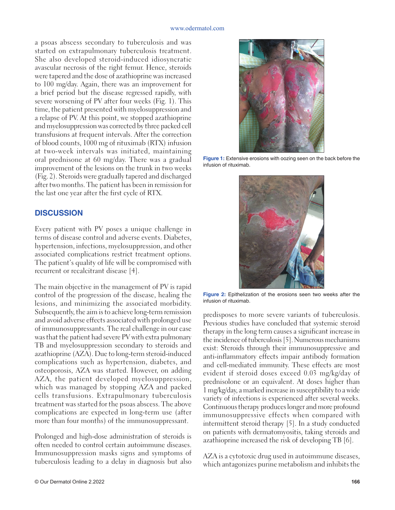a psoas abscess secondary to tuberculosis and was started on extrapulmonary tuberculosis treatment. She also developed steroid-induced idiosyncratic avascular necrosis of the right femur. Hence, steroids were tapered and the dose of azathioprine was increased to 100 mg/day. Again, there was an improvement for a brief period but the disease regressed rapidly, with severe worsening of PV after four weeks (Fig. 1). This time, the patient presented with myelosuppression and a relapse of PV. At this point, we stopped azathioprine and myelosuppression was corrected by three packed cell transfusions at frequent intervals. After the correction of blood counts, 1000 mg of rituximab (RTX) infusion at two-week intervals was initiated, maintaining oral prednisone at 60 mg/day. There was a gradual improvement of the lesions on the trunk in two weeks (Fig. 2). Steroids were gradually tapered and discharged after two months. The patient has been in remission for the last one year after the first cycle of RTX.

#### **DISCUSSION**

Every patient with PV poses a unique challenge in terms of disease control and adverse events. Diabetes, hypertension, infections, myelosuppression, and other associated complications restrict treatment options. The patient's quality of life will be compromised with recurrent or recalcitrant disease [4].

The main objective in the management of PV is rapid control of the progression of the disease, healing the lesions, and minimizing the associated morbidity. Subsequently, the aim is to achieve long-term remission and avoid adverse effects associated with prolonged use of immunosuppressants. The real challenge in our case was that the patient had severe PV with extra pulmonary TB and myelosuppression secondary to steroids and azathioprine (AZA). Due to long-term steroid-induced complications such as hypertension, diabetes, and osteoporosis, AZA was started. However, on adding AZA, the patient developed myelosuppression, which was managed by stopping AZA and packed cells transfusions. Extrapulmonary tuberculosis treatment was started for the psoas abscess. The above complications are expected in long-term use (after more than four months) of the immunosuppressant.

Prolonged and high-dose administration of steroids is often needed to control certain autoimmune diseases. Immunosuppression masks signs and symptoms of tuberculosis leading to a delay in diagnosis but also



**Figure 1:** Extensive erosions with oozing seen on the back before the infusion of rituximab.



**Figure 2:** Epithelization of the erosions seen two weeks after the infusion of rituximab.

predisposes to more severe variants of tuberculosis. Previous studies have concluded that systemic steroid therapy in the long term causes a significant increase in the incidence of tuberculosis [5]. Numerous mechanisms exist: Steroids through their immunosuppressive and anti-inflammatory effects impair antibody formation and cell-mediated immunity. These effects are most evident if steroid doses exceed 0.03 mg/kg/day of prednisolone or an equivalent. At doses higher than 1 mg/kg/day, a marked increase in susceptibility to a wide variety of infections is experienced after several weeks. Continuous therapy produces longer and more profound immunosuppressive effects when compared with intermittent steroid therapy [5]. In a study conducted on patients with dermatomyositis, taking steroids and azathioprine increased the risk of developing TB [6].

AZA is a cytotoxic drug used in autoimmune diseases, which antagonizes purine metabolism and inhibits the